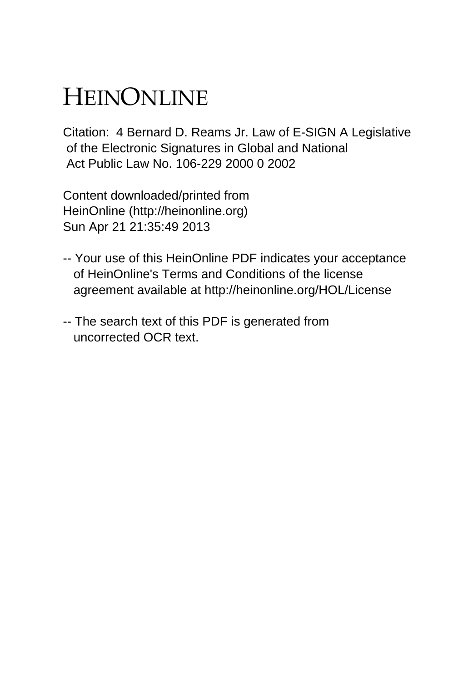# HEINONLINE

Citation: 4 Bernard D. Reams Jr. Law of E-SIGN A Legislative of the Electronic Signatures in Global and National Act Public Law No. 106-229 2000 0 2002

Content downloaded/printed from HeinOnline (http://heinonline.org) Sun Apr 21 21:35:49 2013

- -- Your use of this HeinOnline PDF indicates your acceptance of HeinOnline's Terms and Conditions of the license agreement available at http://heinonline.org/HOL/License
- -- The search text of this PDF is generated from uncorrected OCR text.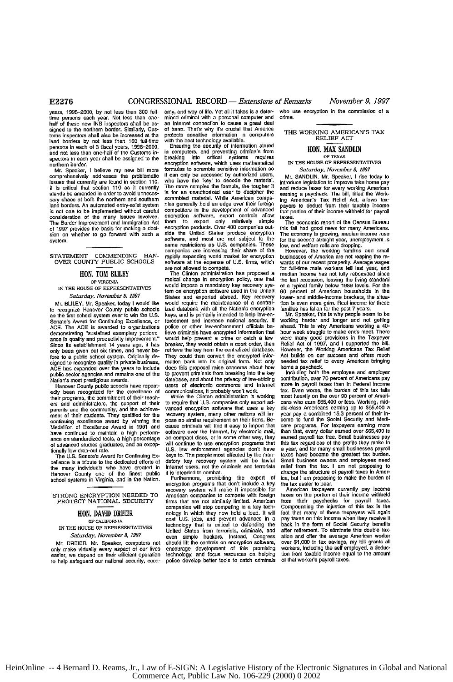### **E2276** CONGRESSIONAL RECORD- *Extensions of Remarks November 9, 1997*

han of necessary of the mother horder. Similarly, Cus-<br>
of harm. That's why it's crucial that America<br>
toms inspectors shall also be increased at the protects sensitive information in computers<br>
Ind borders by not less tha persons in each of 3 fiscal years, 1988–2000, Ensuring the security of information stored **HON. MAX SANDLIN**<br>and not less than one-half of the Customs in- in computers, and preventing criminals from **HON. MAX SANDLIN** 

comprehensively addresses the problematic it can only be accessed by authorized users,<br>issues that currently are found in section 110. who have the 'key' to decode the material.<br>It is critical that section 110 as it curren It is critical that section 110 as it currently. The more complex the formula, the tougher it and reduce laxes for every working American<br>stands be amended in order to avoid unneces- is for an unauthorized user to decipher stands be amended in order to avoid unneces-<br>sary chaos at both the northern and southern scrambled material. While American compa- ing American's Tax Relief Act, allows tax-<br>land borders. An automated entry-exist system n is not one to be implemented without careful competitors in the development of advanced that portion of their income withheld for payrol<br>consideration of the many issues involved. encryption software, export controls allow Consideration of the fight objects incomediate them to export only relatively simple The economic report of the Census Bureau<br>The Border Improvement and Immigration Act them to export only relatively simple The economic re **of** 1997 provides the **basis** for making a dect- encryption products. Over 400 companies Out- this fall had good **news** for many Americans.

edly been recognized for the excellence of communications, it probably won't work.<br>their programs, the commitment of their teach-<br>ers and administrators, the support of their to require that U.S. companies only export ad-<br>

tems the many individuals who have created in Internet users, not the criminals and terrorists relief from the tax. I am not proposing to<br>Hanover County one of the lineat public it is intended to combiniting the export of

to help **safeguard our** national security, **econ-** police develop better tools to catch criminals **of that worker's** payroll **taxes.**

years, 1998-2000, by not less than 300 full- omy, and way of life. Yet all it takes is a deter- who use encryption in the commission of a<br>time persons each year. Not less than one- mined oriminal with a personal computer a time persons each year. Not less than one- mined criminal with a personal computer and crime.<br>half of these new INS inspectors shall be as- an Internet connection to cause a great deal<br>sioned to the northern border. Simila with the best technology available.<br>Final time best technology available.<br>Relief and the security of information stored

persons in each violence in controllers, and preventing criminals from **HUN. MAX SANULIN**<br>spectors in each year shall be assigned to the breaking into critical systems requires<br>northern border.<br>northern border. encryption software, which uses mathematical **IN THE HOUSE OF REPRESENTAT**<br>formulas to scramble sensitive information so Saturday, November 8, 1997 Mr. Speaker, I believe my new bill more formulas to scramble sensitive information **so** *Saturday,* November *8, 1997* compared by authorized users, Mr. SANDLIN. Mr. Speaker, I rise today to who have the "key" to decode the material. Introduce legislation to improve take home pay nies generally hold an edge over their foreign payers to deduct from their taxable income competitors in the development of advanced that portion of their income withheld for payroll sion on whether to go forward with such a side the United States produce encryption. The economy is growing, median income rose<br>software, and most are not subject to the forthe soconyania based on state interior the secti companies are increasing their share of the "However, the working families and small<br>STATEMENT COMMENDING HAN- rapidly expanding world market for encryption businesses of America are not reaping the re-

**THE CORRESSERT REPAIRS TO A THE CORRESPOND THE CORRESPOND TO A THE CORRESPOND TO A THE CORRESPOND TO A THE CORRESPOND TO A THE CORRESPOND TO A THE CORRESPOND TO A THE CORRESPOND TO A THE CORRESPOND TO A THE CORRESPOND TO** IN THE HOUSE OF REPRESENTATIVES would impose a mandatory key recovery sys-<br>Saturday, November 8, 1997<br>Saturday, November 8, 1997<br>In Blance and exported abroad. Key recovery<br>In BLILEY, Mr. Speaker, today I would like would Saturday, November 8, 1997<br>States and exported aboad. Key recovery lower- and middle-income brackets, the situa-<br>Mr. BLILEY. Mr. Speaker, today I would like would require the maintenance of a central- tion is even more gri to recognize Hanover County public schools ized databank with all the Nation's encryption families has fallen for the past 7 years.<br>as the first school system ever to win the U.S. keys, and is primarily intended to help la Senate's Award for Continuing Excellence, or forcement and increase national security. If working harder and longer and not getting<br>ACE. The ACE is awarded to organizations police or other law-enforcement officials be-ahea police or other law-enforcement officials be- ahead. This is why Americans working a 40-<br>lieve criminals have encrypted information that hour week struggle to make ends meet. There Accoreting "sustained exemplary perform- lieve criminals have encrypted information that hour week struggle to make ends meet. There are the There is the There is the There is the There is the There is the There is the The ance in quality and productivity improvement." would help prevent a crime or catch a law- were many good provisions in the Taxpayer<br>Since its establishment 14 years ago, it has breaker, they would obtain a court order, the Since its establishment 14 years ago, it has breaker, they would obtain a court order, then Relief Act of 1997, and I supported the bill, only been given out six times, and never be-retrieve the key from the centralized da signed to recognize quality in private business, mation back into its original form. Not only needed tax relief to every American bringing<br>ACE has expanded over the years to include does this proposal raise concerns about does this proposal raise concerns about how to prevent criminals from breaking into the key public sector agencies and remains one of the to prevent criminals from breaking into the key Nation's most prestigious awards. Nation's most prestigious awards. database, and about the privacy of law-abiding contribution, **over 70** perceot of Americans pay

Their programs, the summations of their to require that U.S. companies only export ad-<br>ers and administrators, the support of their to require that U.S. companies only export ad- cans who earn \$65,400 or less. Working, mid vanced encryption software that uses a key die-class Americans earning up to \$65,400 a<br>recovery system, many other nations will im- year pay a combined 15.3 percent of their in-<br>pose no similar requirement on their firms. ment of their students. They qualified for the recovery system, many other nations will im-year pay a combined 15.3 percent of their in-<br>ment of their students. They qualified for the recovery system, many other firms. Becondition of Excellence Award in 1991 and cause criminals will find it easy to import that care programs. For taxpayers earning more<br>have continued to maintain a high perform- software over the Internet, by electronic mail **Ancele on the compact of the Compact of Compact discs**, or in some other way, they earned payrol and a high percentage on compact discs, a high perform-<br>ance on standardized tests, a high percentage on compact discs, or i of advanced studies graduates, and an excep-<br>
U.S. law enforcement agencies con't have a year, and for many small businesses payroll<br>
U.S. law enforcement agencies con't have a year, and for many small businesses payroll U.S. law enforcement agencies don't have a year, and for many small businesses pay<br>keys to. The people most affected by the man- taxes have become the greatest tax burd The U.S. Senate's Award for Continuing **Ex-** keys to. The people most affected by the man- taxes have become the greatest **tax** burden. datory key recovery system will be lawful datory key recovery system will be lawful Internet users, not the criminals and terrorists

recovery system will make it module a key the lax caster to bear.<br>Herecovery system will make it impossible for American taxpayers currently pay income<br>American companies to compete with foreign taxes on the portion of the STRONG ENCRYPTION NEEDED TO American companies to compete with foreign<br>
PROTECT NATIONAL SECURITY firms that are not similarly limited. American Firms that are not similarly limited. American companies will stop competing in a key tech-HON, DAVID DREER nology in which they now hold a lead. It will fact that many of these taxpayers will again<br>or CALIFORNIA cost U.S. jobs, and prevent advances in a pay taxes on this incomme when they receive it<br>is conflori or CALIFORNIA consider the back in the form of Social Security benefits<br>In THE HOUSE OF EXERCITY EXERCITY AS United States from terrorists, orininalis, and after referenting. To eliminate this double tax-<br>Saturday, Novembe **Mr.** DREIER. Mr. Speaker, computers **not** should lift the controls on encryption software, over **\$1,000** in **tax** savings, my **bill** grants all only make irually **every** aspect of **our** lives encourage development of this promising workers, **including** the self employed, a deducfechnology, and focus resources on helping tion from taxable income equalice develop better tools to catch criminals of that worker's payroll taxes.

STATEMENT COMMENDING HAN-counted at the expense of the expense of America are not recent properties.<br>OVER COUNTY PUBLIC SCHOOLS software at the expense of U.S. firms, which wards of our recent prosperity. Average wages<br>of e not allowed to compete.<br>The Clinton administration has proposed a median income has not fully rebounded since **HON. TOM BLILEY** The Clinton administration has proposed a median income has not fully rebounded since<br>
OF VIRCINIA radical change in encryption policy, one that the last recession, leaving the living standard

Hanover County public schools have repeat- users of electronic commerce and Internet more in payroll taxes than in Federal income<br>Ily been recoonized for the excellence of communications, it probably won't work. The tax. E communications, it probably won't work. tax. Even worse, the burden of this tax falls<br>While the Clinton administration is working most heavily on the over 90 percent of Ameri-Hanover County one of the finest public it is intended to combat.<br>Hanover County one of the finest public it Furthermore, prohibiting the export of toa, but I am proposing to make the burden of<br>school systems in Virginia,

from their paychecks for payroll taxes.<br>Compounding the injustice of this tax is the<br>fact that many of these taxpayers will again<br>pay taxes on this income when they receive it